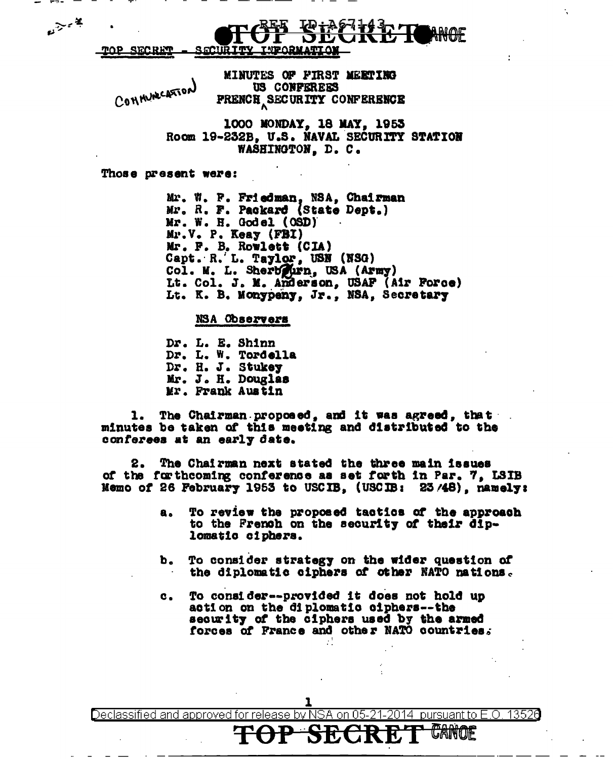MINUTES OF FIRST MEETING COMMUNICATION US CONFEREES **PRENCH SECURITY CONFERENCE** 

> 1000 MONDAY, 18 MAY, 1953 Room 19-232B, U.S. NAVAL SECURITY STATION WASHINGTON, D. C.

Those present were:

فيتسبح معا

Mr. W. P. Friedman, NSA, Chairman<br>Mr. R. F. Packard (State Dept.) Mr. W. H. Godel (OSD)  $Mv$ . V. P. Keay (FBI) Mr. F. B. Rowlett (CIA)<br>Capt. R. L. Taylor, USN (NSG)<br>Col. M. L. Sherbeurn, USA (Army) Lt. Col. J. M. Anderson, USAF (Air Force) Lt. K. B. Monypeny, Jr., NSA, Secretary

NSA Observers

Dr. L. E. Shinn Dr. L. W. Tordella Dr. H. J. Stukey Mr. J. H. Douglas Mr. Frank Austin

1. The Chairman proposed, and it was agreed, that minutes be taken of this meeting and distributed to the conferees at an early date.

The Chairman next stated the three main issues of the forthcoming conference as set forth in Par. 7, LSIB Memo of 26 February 1953 to USCIB, (USCIB: 23/48), namely:

- To review the proposed tactics of the approach  $a<sub>o</sub>$ to the French on the security of their diplomatic ciphers.
- b. To consider strategy on the wider question of the diplomatic ciphers of other NATO nations.
- To consider--provided it does not hold up c. action on the diplomatic ciphers--the security of the ciphers used by the armed forces of France and other NATO countries.

Declassified and approved for release by NSA lon 05 2014 pursuant to E.O. 13526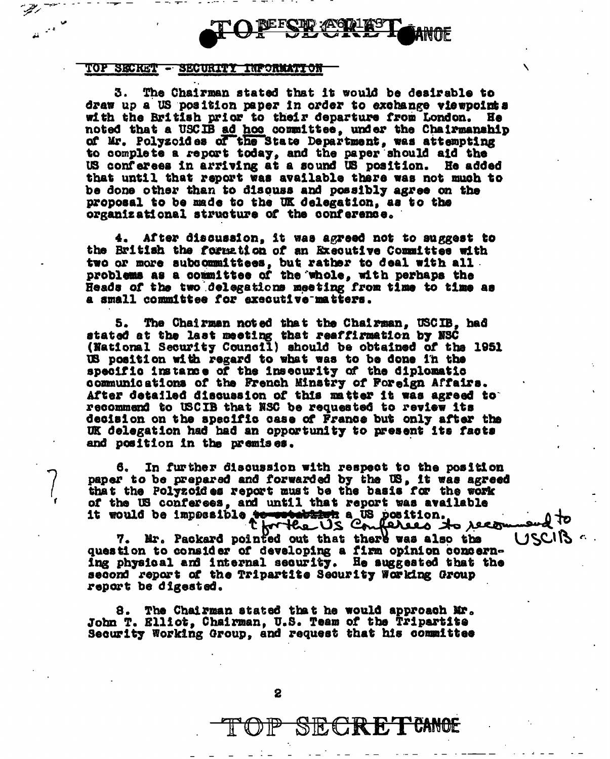

## TOP SECKET - SECURITY INPORMATION

د.<br>استخدام

The Chairman stated that it would be desirable to 3. draw up a US position paper in order to exchange viewpoints with the British prior to their departure from London. He noted that a USCIB ad hos committee, under the Chairmanahip of Mr. Polyzoides of the State Department, was attempting to complete a report today, and the paper should aid the US conferees in arriving at a sound US position. He added that until that report was available there was not much to be done other than to discuss and possibly agree on the proposal to be made to the UK delegation, as to the organizational structure of the conference.

4. After discussion, it was agreed not to suggest to the British the formation of an Executive Committee with two or more subcommittees, but rather to deal with all. problems as a committee of the whole, with perhaps the Heads of the two delegations meeting from time to time as a small committee for executive matters.

5. The Chairman noted that the Chairman. USCIB. had stated at the last meeting that reaffirmation by NSC (National Security Council) should be obtained of the 1951 US position with regard to what was to be done in the specific instance of the insecurity of the diplomatic communications of the French Minstry of Foreign Affairs. After detailed discussion of this matter it was agreed to recommend to USCIB that NSC be requested to review its decision on the specific case of France but only after the UK delegation had had an opportunity to present its facts and position in the premises.

In further discussion with respect to the position paper to be prepared and forwarded by the US, it was agreed that the Polyzoides report must be the basis for the work of the US conferees, and until that report was available it would be impossible to contabine a US position.<br>Christe US Confered to recom

7. Mr. Packard pointed out that there was also the question to consider of developing a firm opinion concerning physical and internal security. He suggested that the second report of the Tripartite Security Working Group report be digested.

8. The Chairman stated that he would approach Mr. John T. Elliot, Chairman, U.S. Team of the Tripartite Security Working Group, and request that his committee USCIB